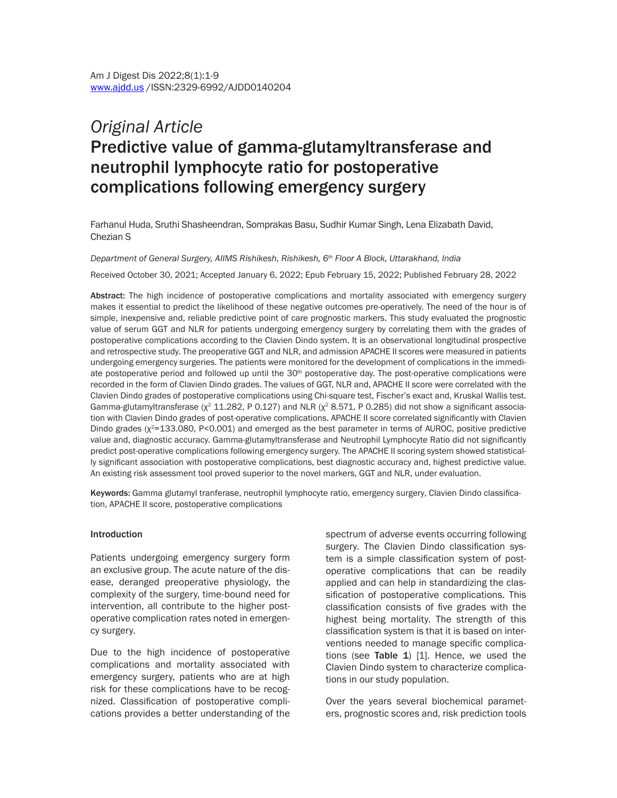# *Original Article* Predictive value of gamma-glutamyltransferase and neutrophil lymphocyte ratio for postoperative complications following emergency surgery

Farhanul Huda, Sruthi Shasheendran, Somprakas Basu, Sudhir Kumar Singh, Lena Elizabath David, Chezian S

*Department of General Surgery, AIIMS Rishikesh, Rishikesh, 6th Floor A Block, Uttarakhand, India*

Received October 30, 2021; Accepted January 6, 2022; Epub February 15, 2022; Published February 28, 2022

Abstract: The high incidence of postoperative complications and mortality associated with emergency surgery makes it essential to predict the likelihood of these negative outcomes pre-operatively. The need of the hour is of simple, inexpensive and, reliable predictive point of care prognostic markers. This study evaluated the prognostic value of serum GGT and NLR for patients undergoing emergency surgery by correlating them with the grades of postoperative complications according to the Clavien Dindo system. It is an observational longitudinal prospective and retrospective study. The preoperative GGT and NLR, and admission APACHE II scores were measured in patients undergoing emergency surgeries. The patients were monitored for the development of complications in the immediate postoperative period and followed up until the 30<sup>th</sup> postoperative day. The post-operative complications were recorded in the form of Clavien Dindo grades. The values of GGT, NLR and, APACHE II score were correlated with the Clavien Dindo grades of postoperative complications using Chi-square test, Fischer's exact and, Kruskal Wallis test. Gamma-glutamyltransferase ( $x^2$  11.282, P 0.127) and NLR ( $x^2$  8.571, P 0.285) did not show a significant association with Clavien Dindo grades of post-operative complications. APACHE II score correlated significantly with Clavien Dindo grades (χ<sup>2</sup>=133.080, P<0.001) and emerged as the best parameter in terms of AUROC, positive predictive value and, diagnostic accuracy. Gamma-glutamyltransferase and Neutrophil Lymphocyte Ratio did not significantly predict post-operative complications following emergency surgery. The APACHE II scoring system showed statistically significant association with postoperative complications, best diagnostic accuracy and, highest predictive value. An existing risk assessment tool proved superior to the novel markers, GGT and NLR, under evaluation.

Keywords: Gamma glutamyl tranferase, neutrophil lymphocyte ratio, emergency surgery, Clavien Dindo classification, APACHE II score, postoperative complications

#### Introduction

Patients undergoing emergency surgery form an exclusive group. The acute nature of the disease, deranged preoperative physiology, the complexity of the surgery, time-bound need for intervention, all contribute to the higher postoperative complication rates noted in emergency surgery.

Due to the high incidence of postoperative complications and mortality associated with emergency surgery, patients who are at high risk for these complications have to be recognized. Classification of postoperative complications provides a better understanding of the spectrum of adverse events occurring following surgery. The Clavien Dindo classification system is a simple classification system of postoperative complications that can be readily applied and can help in standardizing the classification of postoperative complications. This classification consists of five grades with the highest being mortality. The strength of this classification system is that it is based on interventions needed to manage specific complications (see Table 1)  $[1]$ . Hence, we used the Clavien Dindo system to characterize complications in our study population.

Over the years several biochemical parameters, prognostic scores and, risk prediction tools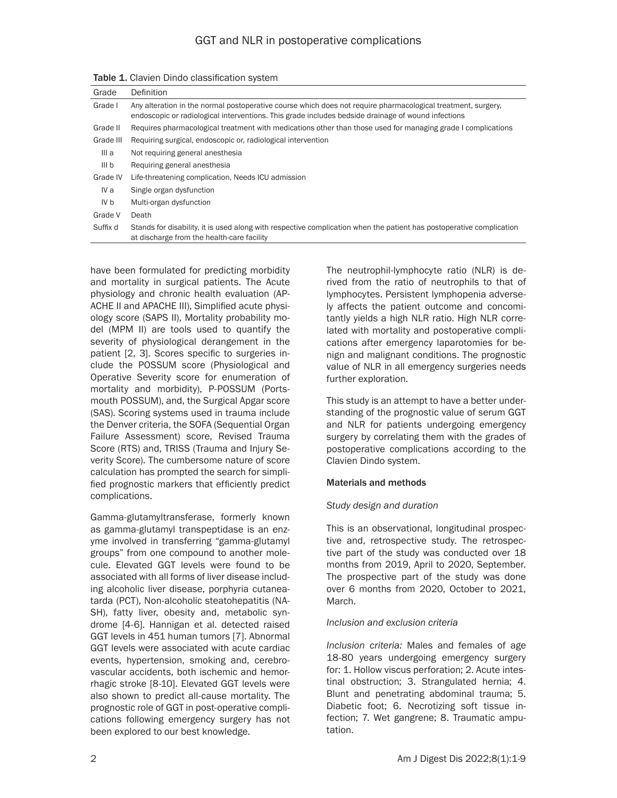| Grade            | Definition                                                                                                                                                                                                         |
|------------------|--------------------------------------------------------------------------------------------------------------------------------------------------------------------------------------------------------------------|
| Grade I          | Any alteration in the normal postoperative course which does not require pharmacological treatment, surgery,<br>endoscopic or radiological interventions. This grade includes bedside drainage of wound infections |
| Grade II         | Requires pharmacological treatment with medications other than those used for managing grade I complications                                                                                                       |
| Grade III        | Requiring surgical, endoscopic or, radiological intervention                                                                                                                                                       |
| III a            | Not requiring general anesthesia                                                                                                                                                                                   |
| III <sub>b</sub> | Requiring general anesthesia                                                                                                                                                                                       |
| Grade IV         | Life-threatening complication, Needs ICU admission                                                                                                                                                                 |
| IV a             | Single organ dysfunction                                                                                                                                                                                           |
| IV b             | Multi-organ dysfunction                                                                                                                                                                                            |
| Grade V          | Death                                                                                                                                                                                                              |
| Suffix d         | Stands for disability, it is used along with respective complication when the patient has postoperative complication<br>at discharge from the health-care facility                                                 |

Table 1. Clavien Dindo classification system

have been formulated for predicting morbidity and mortality in surgical patients. The Acute physiology and chronic health evaluation (AP-ACHE II and APACHE III), Simplified acute physiology score (SAPS II), Mortality probability model (MPM II) are tools used to quantify the severity of physiological derangement in the patient [2, 3]. Scores specific to surgeries include the POSSUM score (Physiological and Operative Severity score for enumeration of mortality and morbidity), P-POSSUM (Portsmouth POSSUM), and, the Surgical Apgar score (SAS). Scoring systems used in trauma include the Denver criteria, the SOFA (Sequential Organ Failure Assessment) score, Revised Trauma Score (RTS) and, TRISS (Trauma and Injury Severity Score). The cumbersome nature of score calculation has prompted the search for simplified prognostic markers that efficiently predict complications.

Gamma-glutamyltransferase, formerly known as gamma-glutamyl transpeptidase is an enzyme involved in transferring "gamma-glutamyl groups" from one compound to another molecule. Elevated GGT levels were found to be associated with all forms of liver disease including alcoholic liver disease, porphyria cutaneatarda (PCT), Non-alcoholic steatohepatitis (NA-SH), fatty liver, obesity and, metabolic syndrome [4-6]. Hannigan et al. detected raised GGT levels in 451 human tumors [7]. Abnormal GGT levels were associated with acute cardiac events, hypertension, smoking and, cerebrovascular accidents, both ischemic and hemorrhagic stroke [8-10]. Elevated GGT levels were also shown to predict all-cause mortality. The prognostic role of GGT in post-operative complications following emergency surgery has not been explored to our best knowledge.

The neutrophil-lymphocyte ratio (NLR) is derived from the ratio of neutrophils to that of lymphocytes. Persistent lymphopenia adversely affects the patient outcome and concomitantly yields a high NLR ratio. High NLR correlated with mortality and postoperative complications after emergency laparotomies for benign and malignant conditions. The prognostic value of NLR in all emergency surgeries needs further exploration.

This study is an attempt to have a better understanding of the prognostic value of serum GGT and NLR for patients undergoing emergency surgery by correlating them with the grades of postoperative complications according to the Clavien Dindo system.

#### Materials and methods

# *Study design and duration*

This is an observational, longitudinal prospective and, retrospective study. The retrospective part of the study was conducted over 18 months from 2019, April to 2020, September. The prospective part of the study was done over 6 months from 2020, October to 2021, March.

#### *Inclusion and exclusion criteria*

*Inclusion criteria:* Males and females of age 18-80 years undergoing emergency surgery for: 1. Hollow viscus perforation; 2. Acute intestinal obstruction; 3. Strangulated hernia; 4. Blunt and penetrating abdominal trauma; 5. Diabetic foot; 6. Necrotizing soft tissue infection; 7. Wet gangrene; 8. Traumatic amputation.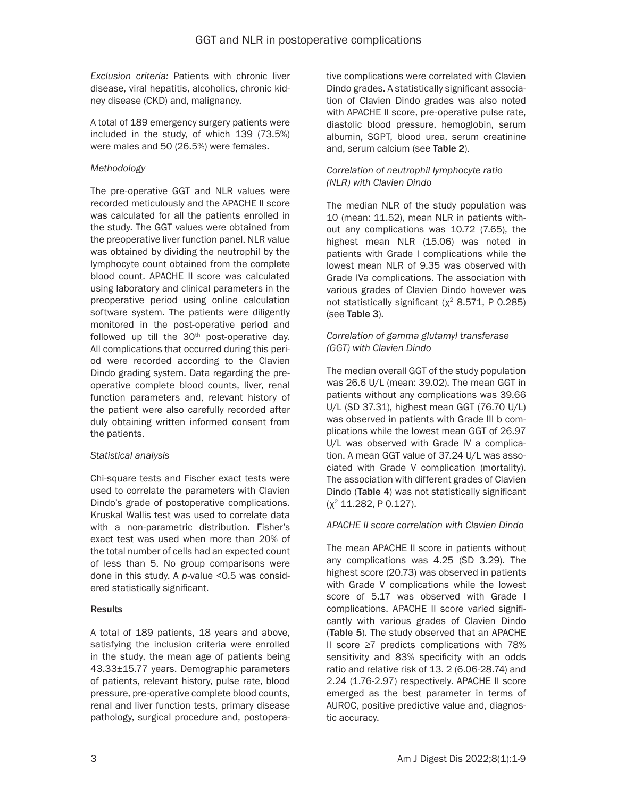*Exclusion criteria:* Patients with chronic liver disease, viral hepatitis, alcoholics, chronic kidney disease (CKD) and, malignancy.

A total of 189 emergency surgery patients were included in the study, of which 139 (73.5%) were males and 50 (26.5%) were females.

# *Methodology*

The pre-operative GGT and NLR values were recorded meticulously and the APACHE II score was calculated for all the patients enrolled in the study. The GGT values were obtained from the preoperative liver function panel. NLR value was obtained by dividing the neutrophil by the lymphocyte count obtained from the complete blood count. APACHE II score was calculated using laboratory and clinical parameters in the preoperative period using online calculation software system. The patients were diligently monitored in the post-operative period and followed up till the 30<sup>th</sup> post-operative day. All complications that occurred during this period were recorded according to the Clavien Dindo grading system. Data regarding the preoperative complete blood counts, liver, renal function parameters and, relevant history of the patient were also carefully recorded after duly obtaining written informed consent from the patients.

#### *Statistical analysis*

Chi-square tests and Fischer exact tests were used to correlate the parameters with Clavien Dindo's grade of postoperative complications. Kruskal Wallis test was used to correlate data with a non-parametric distribution. Fisher's exact test was used when more than 20% of the total number of cells had an expected count of less than 5. No group comparisons were done in this study. A *p*-value <0.5 was considered statistically significant.

# **Results**

A total of 189 patients, 18 years and above, satisfying the inclusion criteria were enrolled in the study, the mean age of patients being 43.33±15.77 years. Demographic parameters of patients, relevant history, pulse rate, blood pressure, pre-operative complete blood counts, renal and liver function tests, primary disease pathology, surgical procedure and, postoperative complications were correlated with Clavien Dindo grades. A statistically significant association of Clavien Dindo grades was also noted with APACHE II score, pre-operative pulse rate, diastolic blood pressure, hemoglobin, serum albumin, SGPT, blood urea, serum creatinine and, serum calcium (see Table 2).

#### *Correlation of neutrophil lymphocyte ratio (NLR) with Clavien Dindo*

The median NLR of the study population was 10 (mean: 11.52), mean NLR in patients without any complications was 10.72 (7.65), the highest mean NLR (15.06) was noted in patients with Grade I complications while the lowest mean NLR of 9.35 was observed with Grade IVa complications. The association with various grades of Clavien Dindo however was not statistically significant ( $χ²$  8.571, P 0.285) (see Table 3).

#### *Correlation of gamma glutamyl transferase (GGT) with Clavien Dindo*

The median overall GGT of the study population was 26.6 U/L (mean: 39.02). The mean GGT in patients without any complications was 39.66 U/L (SD 37.31), highest mean GGT (76.70 U/L) was observed in patients with Grade III b complications while the lowest mean GGT of 26.97 U/L was observed with Grade IV a complication. A mean GGT value of 37.24 U/L was associated with Grade V complication (mortality). The association with different grades of Clavien Dindo (Table 4) was not statistically significant (χ2 11.282, P 0.127).

# *APACHE II score correlation with Clavien Dindo*

The mean APACHE II score in patients without any complications was 4.25 (SD 3.29). The highest score (20.73) was observed in patients with Grade V complications while the lowest score of 5.17 was observed with Grade I complications. APACHE II score varied significantly with various grades of Clavien Dindo (Table 5). The study observed that an APACHE II score ≥7 predicts complications with 78% sensitivity and 83% specificity with an odds ratio and relative risk of 13. 2 (6.06-28.74) and 2.24 (1.76-2.97) respectively. APACHE II score emerged as the best parameter in terms of AUROC, positive predictive value and, diagnostic accuracy.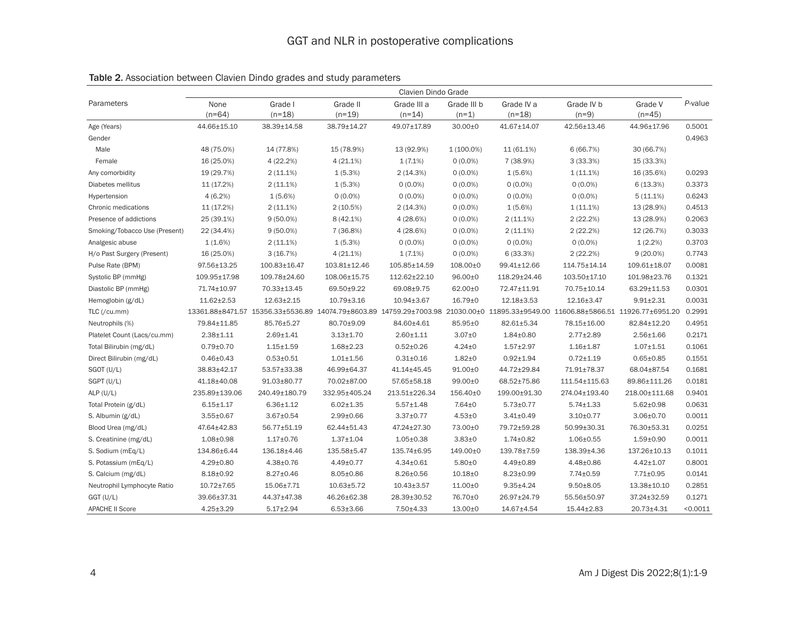|                               | Clavien Dindo Grade |                     |                      |                         |                        |                                                                                                                                   |                       |                     |          |  |
|-------------------------------|---------------------|---------------------|----------------------|-------------------------|------------------------|-----------------------------------------------------------------------------------------------------------------------------------|-----------------------|---------------------|----------|--|
| Parameters                    | None<br>$(n=64)$    | Grade I<br>$(n=18)$ | Grade II<br>$(n=19)$ | Grade III a<br>$(n=14)$ | Grade III b<br>$(n=1)$ | Grade IV a<br>$(n=18)$                                                                                                            | Grade IV b<br>$(n=9)$ | Grade V<br>$(n=45)$ | P-value  |  |
| Age (Years)                   | 44.66±15.10         | 38.39±14.58         | 38.79±14.27          | 49.07±17.89             | $30.00 + 0$            | 41.67±14.07                                                                                                                       | 42.56±13.46           | 44.96±17.96         | 0.5001   |  |
| Gender                        |                     |                     |                      |                         |                        |                                                                                                                                   |                       |                     | 0.4963   |  |
| Male                          | 48 (75.0%)          | 14 (77.8%)          | 15 (78.9%)           | 13 (92.9%)              | $1(100.0\%)$           | 11 (61.1%)                                                                                                                        | 6(66.7%)              | 30 (66.7%)          |          |  |
| Female                        | 16 (25.0%)          | 4(22.2%)            | $4(21.1\%)$          | 1(7.1%)                 | $0(0.0\%)$             | 7 (38.9%)                                                                                                                         | 3(33.3%)              | 15 (33.3%)          |          |  |
| Any comorbidity               | 19 (29.7%)          | $2(11.1\%)$         | 1(5.3%)              | 2(14.3%)                | $0(0.0\%)$             | $1(5.6\%)$                                                                                                                        | $1(11.1\%)$           | 16 (35.6%)          | 0.0293   |  |
| Diabetes mellitus             | 11 (17.2%)          | $2(11.1\%)$         | 1(5.3%)              | $0(0.0\%)$              | $0(0.0\%)$             | $0(0.0\%)$                                                                                                                        | $0(0.0\%)$            | 6(13.3%)            | 0.3373   |  |
| Hypertension                  | $4(6.2\%)$          | $1(5.6\%)$          | $0(0.0\%)$           | $0(0.0\%)$              | $0(0.0\%)$             | $0(0.0\%)$                                                                                                                        | $0(0.0\%)$            | $5(11.1\%)$         | 0.6243   |  |
| Chronic medications           | 11 (17.2%)          | $2(11.1\%)$         | 2(10.5%)             | 2(14.3%)                | $0(0.0\%)$             | $1(5.6\%)$                                                                                                                        | $1(11.1\%)$           | 13 (28.9%)          | 0.4513   |  |
| Presence of addictions        | 25 (39.1%)          | $9(50.0\%)$         | 8 (42.1%)            | 4(28.6%)                | $0(0.0\%)$             | 2(11.1%)                                                                                                                          | 2(22.2%)              | 13 (28.9%)          | 0.2063   |  |
| Smoking/Tobacco Use (Present) | 22 (34.4%)          | $9(50.0\%)$         | 7 (36.8%)            | 4(28.6%)                | $0(0.0\%)$             | $2(11.1\%)$                                                                                                                       | 2(22.2%)              | 12 (26.7%)          | 0.3033   |  |
| Analgesic abuse               | $1(1.6\%)$          | $2(11.1\%)$         | 1(5.3%)              | $0(0.0\%)$              | $0(0.0\%)$             | $0(0.0\%)$                                                                                                                        | $0(0.0\%)$            | $1(2.2\%)$          | 0.3703   |  |
| H/o Past Surgery (Present)    | 16 (25.0%)          | 3(16.7%)            | $4(21.1\%)$          | 1(7.1%)                 | $0(0.0\%)$             | 6(33.3%)                                                                                                                          | 2(22.2%)              | $9(20.0\%)$         | 0.7743   |  |
| Pulse Rate (BPM)              | 97.56±13.25         | 100.83±16.47        | 103.81±12.46         | 105.85±14.59            | 108.00±0               | 99.41±12.66                                                                                                                       | 114.75±14.14          | 109.61±18.07        | 0.0081   |  |
| Systolic BP (mmHg)            | 109.95±17.98        | 109.78±24.60        | 108.06±15.75         | 112.62±22.10            | $96.00 + 0$            | 118.29±24.46                                                                                                                      | 103.50±17.10          | 101.98±23.76        | 0.1321   |  |
| Diastolic BP (mmHg)           | 71.74±10.97         | 70.33±13.45         | 69.50±9.22           | 69.08±9.75              | 62.00±0                | 72.47±11.91                                                                                                                       | 70.75±10.14           | 63.29±11.53         | 0.0301   |  |
| Hemoglobin (g/dL)             | $11.62 \pm 2.53$    | $12.63 \pm 2.15$    | $10.79 \pm 3.16$     | $10.94 \pm 3.67$        | $16.79 + 0$            | 12.18±3.53                                                                                                                        | 12.16±3.47            | $9.91 \pm 2.31$     | 0.0031   |  |
| TLC (/cu.mm)                  |                     |                     |                      |                         |                        | 13361.88±8471.57 15356.33±5536.89 14074.79±8603.89 14759.29±7003.98 21030.00±0 11895.33±9549.00 11606.88±5866.51 11926.77±6951.20 |                       |                     | 0.2991   |  |
| Neutrophils (%)               | 79.84±11.85         | 85.76±5.27          | 80.70±9.09           | 84.60±4.61              | 85.95±0                | 82.61±5.34                                                                                                                        | 78.15±16.00           | 82.84±12.20         | 0.4951   |  |
| Platelet Count (Lacs/cu.mm)   | $2.38 + 1.11$       | $2.69 + 1.41$       | $3.13 + 1.70$        | $2.60 + 1.11$           | $3.07 + 0$             | $1.84 + 0.80$                                                                                                                     | $2.77 \pm 2.89$       | $2.56 \pm 1.66$     | 0.2171   |  |
| Total Bilirubin (mg/dL)       | $0.79 + 0.70$       | $1.15 + 1.59$       | $1.68 + 2.23$        | $0.52 \pm 0.26$         | $4.24 \pm 0$           | $1.57 + 2.97$                                                                                                                     | $1.16 + 1.87$         | $1.07 \pm 1.51$     | 0.1061   |  |
| Direct Bilirubin (mg/dL)      | $0.46 \pm 0.43$     | $0.53 + 0.51$       | $1.01 \pm 1.56$      | $0.31 \pm 0.16$         | $1.82 + 0$             | $0.92 \pm 1.94$                                                                                                                   | $0.72 \pm 1.19$       | $0.65 \pm 0.85$     | 0.1551   |  |
| SGOT (U/L)                    | 38.83±42.17         | 53.57±33.38         | 46.99±64.37          | 41.14±45.45             | 91.00±0                | 44.72±29.84                                                                                                                       | 71.91±78.37           | 68.04±87.54         | 0.1681   |  |
| SGPT (U/L)                    | 41.18±40.08         | 91.03±80.77         | 70.02±87.00          | 57.65±58.18             | 99.00±0                | 68.52±75.86                                                                                                                       | 111.54±115.63         | 89.86±111.26        | 0.0181   |  |
| ALP $(U/L)$                   | 235.89±139.06       | 240.49±180.79       | 332.95±405.24        | 213.51±226.34           | 156.40±0               | 199.00±91.30                                                                                                                      | 274.04±193.40         | 218.00±111.68       | 0.9401   |  |
| Total Protein (g/dL)          | $6.15 \pm 1.17$     | $6.36 \pm 1.12$     | $6.02 \pm 1.35$      | $5.57 \pm 1.48$         | 7.64±0                 | $5.73 \pm 0.77$                                                                                                                   | $5.74 \pm 1.33$       | $5.62 \pm 0.98$     | 0.0631   |  |
| S. Albumin (g/dL)             | $3.55 \pm 0.67$     | $3.67 \pm 0.54$     | $2.99 + 0.66$        | $3.37 \pm 0.77$         | $4.53 + 0$             | $3.41 \pm 0.49$                                                                                                                   | $3.10 \pm 0.77$       | 3.06±0.70           | 0.0011   |  |
| Blood Urea (mg/dL)            | 47.64±42.83         | 56.77±51.19         | 62.44±51.43          | 47.24±27.30             | 73.00±0                | 79.72±59.28                                                                                                                       | 50.99±30.31           | 76.30±53.31         | 0.0251   |  |
| S. Creatinine (mg/dL)         | $1.08 + 0.98$       | $1.17 + 0.76$       | $1.37 \pm 1.04$      | $1.05 \pm 0.38$         | $3.83 + 0$             | $1.74 \pm 0.82$                                                                                                                   | $1.06 \pm 0.55$       | $1.59 + 0.90$       | 0.0011   |  |
| S. Sodium (mEq/L)             | 134.86±6.44         | 136.18±4.46         | 135.58±5.47          | 135.74±6.95             | 149.00±0               | 139.78±7.59                                                                                                                       | 138.39±4.36           | 137.26±10.13        | 0.1011   |  |
| S. Potassium (mEq/L)          | $4.29 \pm 0.80$     | 4.38±0.76           | 4.49±0.77            | $4.34 \pm 0.61$         | $5.80 + 0$             | $4.49 \pm 0.89$                                                                                                                   | 4.48±0.86             | $4.42 \pm 1.07$     | 0.8001   |  |
| S. Calcium (mg/dL)            | 8.18±0.92           | $8.27 \pm 0.46$     | $8.05 \pm 0.86$      | $8.26 \pm 0.56$         | $10.18 + 0$            | $8.23 \pm 0.99$                                                                                                                   | $7.74 \pm 0.59$       | $7.71 \pm 0.95$     | 0.0141   |  |
| Neutrophil Lymphocyte Ratio   | $10.72 \pm 7.65$    | 15.06±7.71          | $10.63 \pm 5.72$     | $10.43 \pm 3.57$        | $11.00 + 0$            | $9.35 \pm 4.24$                                                                                                                   | $9.50 \pm 8.05$       | 13.38±10.10         | 0.2851   |  |
| GGT (U/L)                     | 39.66±37.31         | 44.37±47.38         | 46.26±62.38          | 28.39±30.52             | 76.70±0                | 26.97±24.79                                                                                                                       | 55.56±50.97           | 37.24±32.59         | 0.1271   |  |
| <b>APACHE II Score</b>        | $4.25 \pm 3.29$     | $5.17 \pm 2.94$     | $6.53 \pm 3.66$      | 7.50±4.33               | $13.00 + 0$            | 14.67±4.54                                                                                                                        | $15.44 \pm 2.83$      | 20.73±4.31          | < 0.0011 |  |

Table 2. Association between Clavien Dindo grades and study parameters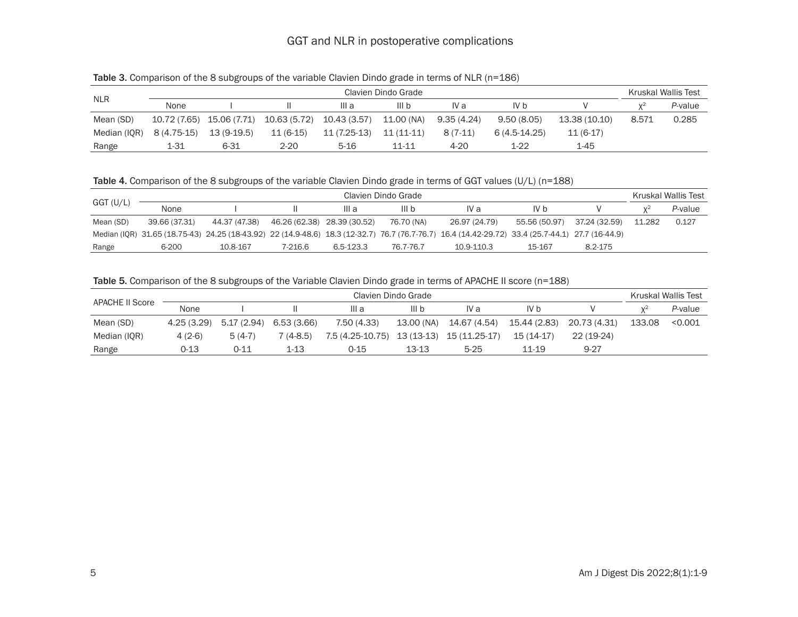# GGT and NLR in postoperative complications

| <b>NLR</b>   | Clavien Dindo Grade |              |              |              |                  |            |               |               |       | Kruskal Wallis Test |  |
|--------------|---------------------|--------------|--------------|--------------|------------------|------------|---------------|---------------|-------|---------------------|--|
|              | None                |              |              | III a        | III <sub>b</sub> | IV a       | IV b          |               |       | P-value             |  |
| Mean (SD)    | 10.72 (7.65)        | 15.06 (7.71) | 10.63 (5.72) | 10.43 (3.57) | 11.00 (NA)       | 9.35(4.24) | 9.50 (8.05)   | 13.38 (10.10) | 8.571 | 0.285               |  |
| Median (IQR) | 8 (4.75-15)         | $13(9-19.5)$ | $11(6-15)$   | 11 (7.25-13) | $11(11-11)$      | $8(7-11)$  | 6 (4.5-14.25) | $11(6-17)$    |       |                     |  |
| Range        | 1-31                | $6 - 31$     | $2 - 20$     | $5-16$       | 11-11            | 4-20       | 1-22          | $1 - 45$      |       |                     |  |

Table 4. Comparison of the 8 subgroups of the variable Clavien Dindo grade in terms of GGT values (U/L) (n=188)

|           | Clavien Dindo Grade |               |                             |           |            |                                                                                                                                                  |               |               |        |         |
|-----------|---------------------|---------------|-----------------------------|-----------|------------|--------------------------------------------------------------------------------------------------------------------------------------------------|---------------|---------------|--------|---------|
| GGT (U/L) | None                |               |                             | III a     | III b      | IV a                                                                                                                                             | IV b          |               |        | P-value |
| Mean (SD) | 39.66 (37.31)       | 44.37 (47.38) | 46.26 (62.38) 28.39 (30.52) |           | 76.70 (NA) | 26.97 (24.79)                                                                                                                                    | 55.56 (50.97) | 37.24 (32.59) | 11.282 | 0.127   |
|           |                     |               |                             |           |            | Median (IQR) 31.65 (18.75-43) 24.25 (18-43.92) 22 (14.9-48.6) 18.3 (12-32.7) 76.7 (76.7-76.7) 16.4 (14.42-29.72) 33.4 (25.7-44.1) 27.7 (16-44.9) |               |               |        |         |
| Range     | 6-200               | 10.8-167      | 7-216.6                     | 6.5-123.3 | 76.7-76.7  | 10.9-110.3                                                                                                                                       | 15-167        | 8.2-175       |        |         |

Table 5. Comparison of the 8 subgroups of the Variable Clavien Dindo grade in terms of APACHE II score (n=188)

|                 | Clavien Dindo Grade |            |            |                  |                  |               |              |              |        | Kruskal Wallis Test |  |
|-----------------|---------------------|------------|------------|------------------|------------------|---------------|--------------|--------------|--------|---------------------|--|
| APACHE II Score | None                |            |            | III a            | III <sub>b</sub> | IV a          | IV b         |              |        | P-value             |  |
| Mean (SD)       | 4.25(3.29)          | 5.17(2.94) | 6.53(3.66) | 7.50(4.33)       | 13.00 (NA)       | 14.67 (4.54)  | 15.44 (2.83) | 20.73 (4.31) | 133.08 | < 0.001             |  |
| Median (IQR)    | 4 (2-6)             | $5(4-7)$   | 7 (4-8.5)  | 7.5 (4.25-10.75) | 13 (13-13)       | 15 (11.25-17) | $15(14-17)$  | $22(19-24)$  |        |                     |  |
| Range           | 0-13                | 0-11       | 1-13       | 0-15             | 13-13            | $5 - 25$      | 11-19        | $9 - 27$     |        |                     |  |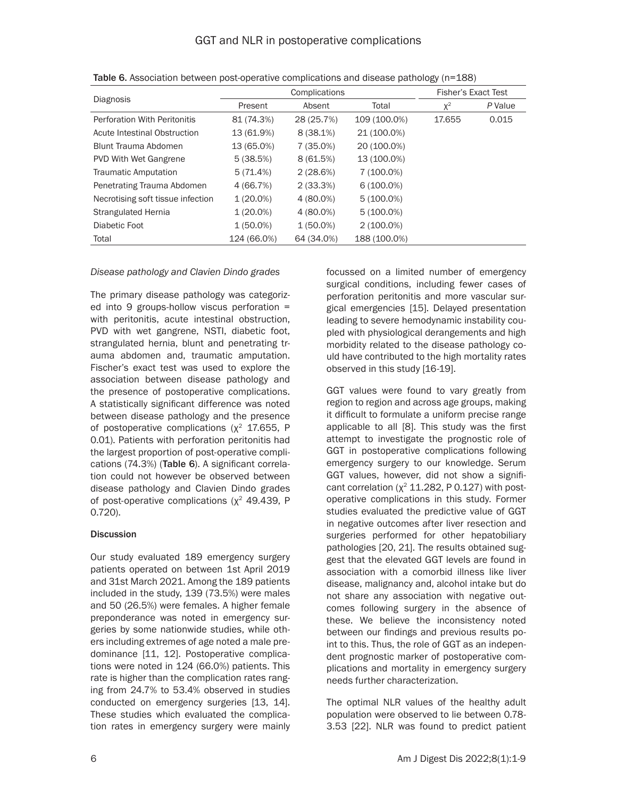|                                     |             | Complications | <b>Fisher's Exact Test</b> |        |         |
|-------------------------------------|-------------|---------------|----------------------------|--------|---------|
| Diagnosis                           | Present     | Absent        | Total                      | $X^2$  | P Value |
| <b>Perforation With Peritonitis</b> | 81 (74.3%)  | 28 (25.7%)    | 109 (100.0%)               | 17.655 | 0.015   |
| Acute Intestinal Obstruction        | 13 (61.9%)  | $8(38.1\%)$   | 21 (100.0%)                |        |         |
| Blunt Trauma Abdomen                | 13 (65.0%)  | 7 (35.0%)     | 20 (100.0%)                |        |         |
| <b>PVD With Wet Gangrene</b>        | 5(38.5%)    | 8(61.5%)      | 13 (100.0%)                |        |         |
| <b>Traumatic Amputation</b>         | 5(71.4%)    | $2(28.6\%)$   | 7 (100.0%)                 |        |         |
| Penetrating Trauma Abdomen          | 4 (66.7%)   | $2(33.3\%)$   | $6(100.0\%)$               |        |         |
| Necrotising soft tissue infection   | $1(20.0\%)$ | 4 (80.0%)     | $5(100.0\%)$               |        |         |
| Strangulated Hernia                 | $1(20.0\%)$ | 4 (80.0%)     | $5(100.0\%)$               |        |         |
| Diabetic Foot                       | $1(50.0\%)$ | $1(50.0\%)$   | $2(100.0\%)$               |        |         |
| Total                               | 124 (66.0%) | 64 (34.0%)    | 188 (100.0%)               |        |         |

Table 6. Association between post-operative complications and disease pathology (n=188)

#### *Disease pathology and Clavien Dindo grades*

The primary disease pathology was categorized into 9 groups-hollow viscus perforation = with peritonitis, acute intestinal obstruction, PVD with wet gangrene, NSTI, diabetic foot, strangulated hernia, blunt and penetrating trauma abdomen and, traumatic amputation. Fischer's exact test was used to explore the association between disease pathology and the presence of postoperative complications. A statistically significant difference was noted between disease pathology and the presence of postoperative complications  $(x^2, 17.655, P)$ 0.01). Patients with perforation peritonitis had the largest proportion of post-operative complications (74.3%) (Table 6). A significant correlation could not however be observed between disease pathology and Clavien Dindo grades of post-operative complications ( $x^2$  49.439, P 0.720).

# **Discussion**

Our study evaluated 189 emergency surgery patients operated on between 1st April 2019 and 31st March 2021. Among the 189 patients included in the study, 139 (73.5%) were males and 50 (26.5%) were females. A higher female preponderance was noted in emergency surgeries by some nationwide studies, while others including extremes of age noted a male predominance [11, 12]. Postoperative complications were noted in 124 (66.0%) patients. This rate is higher than the complication rates ranging from 24.7% to 53.4% observed in studies conducted on emergency surgeries [13, 14]. These studies which evaluated the complication rates in emergency surgery were mainly focussed on a limited number of emergency surgical conditions, including fewer cases of perforation peritonitis and more vascular surgical emergencies [15]. Delayed presentation leading to severe hemodynamic instability coupled with physiological derangements and high morbidity related to the disease pathology could have contributed to the high mortality rates observed in this study [16-19].

GGT values were found to vary greatly from region to region and across age groups, making it difficult to formulate a uniform precise range applicable to all [8]. This study was the first attempt to investigate the prognostic role of GGT in postoperative complications following emergency surgery to our knowledge. Serum GGT values, however, did not show a significant correlation ( $\chi^2$  11.282, P 0.127) with postoperative complications in this study. Former studies evaluated the predictive value of GGT in negative outcomes after liver resection and surgeries performed for other hepatobiliary pathologies [20, 21]. The results obtained suggest that the elevated GGT levels are found in association with a comorbid illness like liver disease, malignancy and, alcohol intake but do not share any association with negative outcomes following surgery in the absence of these. We believe the inconsistency noted between our findings and previous results point to this. Thus, the role of GGT as an independent prognostic marker of postoperative complications and mortality in emergency surgery needs further characterization.

The optimal NLR values of the healthy adult population were observed to lie between 0.78- 3.53 [22]. NLR was found to predict patient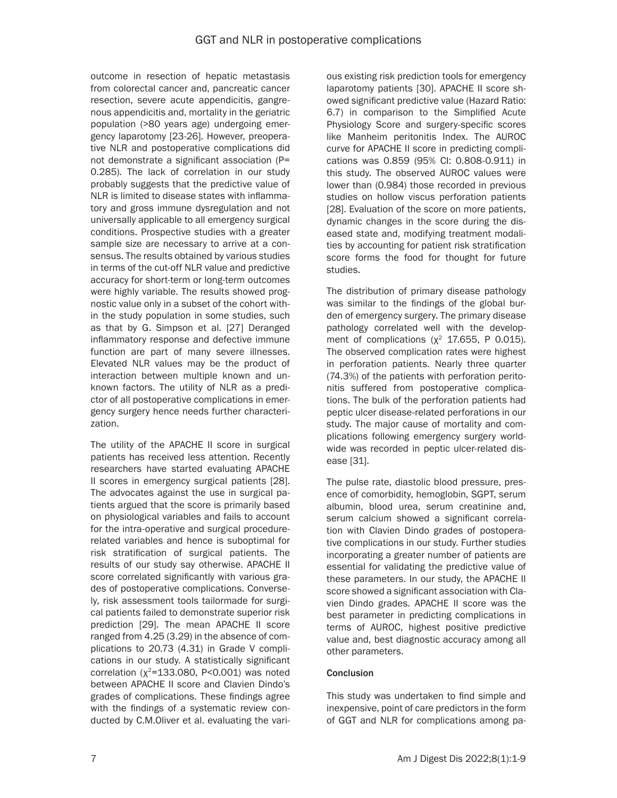outcome in resection of hepatic metastasis from colorectal cancer and, pancreatic cancer resection, severe acute appendicitis, gangrenous appendicitis and, mortality in the geriatric population (>80 years age) undergoing emergency laparotomy [23-26]. However, preoperative NLR and postoperative complications did not demonstrate a significant association (P= 0.285). The lack of correlation in our study probably suggests that the predictive value of NLR is limited to disease states with inflammatory and gross immune dysregulation and not universally applicable to all emergency surgical conditions. Prospective studies with a greater sample size are necessary to arrive at a consensus. The results obtained by various studies in terms of the cut-off NLR value and predictive accuracy for short-term or long-term outcomes were highly variable. The results showed prognostic value only in a subset of the cohort within the study population in some studies, such as that by G. Simpson et al. [27] Deranged inflammatory response and defective immune function are part of many severe illnesses. Elevated NLR values may be the product of interaction between multiple known and unknown factors. The utility of NLR as a predictor of all postoperative complications in emergency surgery hence needs further characterization.

The utility of the APACHE II score in surgical patients has received less attention. Recently researchers have started evaluating APACHE II scores in emergency surgical patients [28]. The advocates against the use in surgical patients argued that the score is primarily based on physiological variables and fails to account for the intra-operative and surgical procedurerelated variables and hence is suboptimal for risk stratification of surgical patients. The results of our study say otherwise. APACHE II score correlated significantly with various grades of postoperative complications. Conversely, risk assessment tools tailormade for surgical patients failed to demonstrate superior risk prediction [29]. The mean APACHE II score ranged from 4.25 (3.29) in the absence of complications to 20.73 (4.31) in Grade V complications in our study. A statistically significant correlation ( $x^2$ =133.080, P<0.001) was noted between APACHE II score and Clavien Dindo's grades of complications. These findings agree with the findings of a systematic review conducted by C.M.Oliver et al. evaluating the various existing risk prediction tools for emergency laparotomy patients [30]. APACHE II score showed significant predictive value (Hazard Ratio: 6.7) in comparison to the Simplified Acute Physiology Score and surgery-specific scores like Manheim peritonitis Index. The AUROC curve for APACHE II score in predicting complications was 0.859 (95% CI: 0.808-0.911) in this study. The observed AUROC values were lower than (0.984) those recorded in previous studies on hollow viscus perforation patients [28]. Evaluation of the score on more patients, dynamic changes in the score during the diseased state and, modifying treatment modalities by accounting for patient risk stratification score forms the food for thought for future studies.

The distribution of primary disease pathology was similar to the findings of the global burden of emergency surgery. The primary disease pathology correlated well with the development of complications ( $\chi^2$  17.655, P 0.015). The observed complication rates were highest in perforation patients. Nearly three quarter (74.3%) of the patients with perforation peritonitis suffered from postoperative complications. The bulk of the perforation patients had peptic ulcer disease-related perforations in our study. The major cause of mortality and complications following emergency surgery worldwide was recorded in peptic ulcer-related disease [31].

The pulse rate, diastolic blood pressure, presence of comorbidity, hemoglobin, SGPT, serum albumin, blood urea, serum creatinine and, serum calcium showed a significant correlation with Clavien Dindo grades of postoperative complications in our study. Further studies incorporating a greater number of patients are essential for validating the predictive value of these parameters. In our study, the APACHE II score showed a significant association with Clavien Dindo grades. APACHE II score was the best parameter in predicting complications in terms of AUROC, highest positive predictive value and, best diagnostic accuracy among all other parameters.

# **Conclusion**

This study was undertaken to find simple and inexpensive, point of care predictors in the form of GGT and NLR for complications among pa-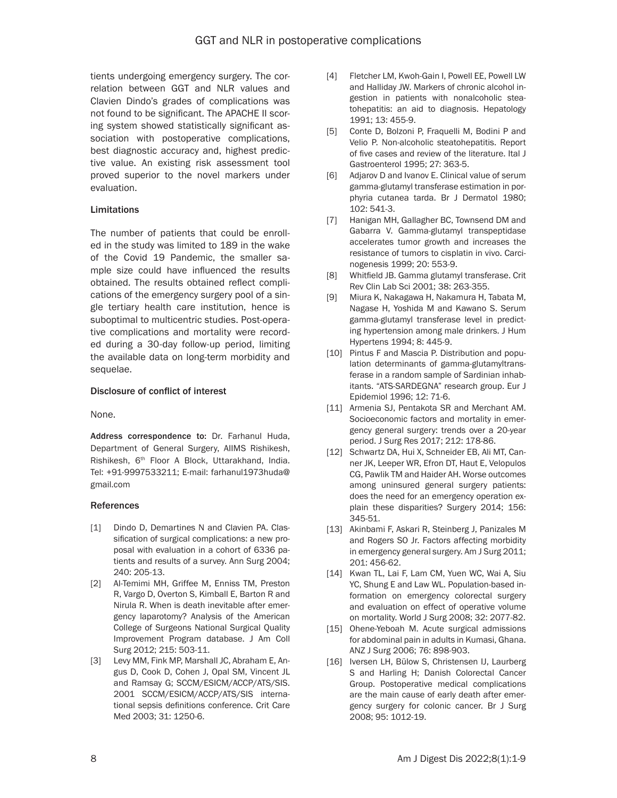tients undergoing emergency surgery. The correlation between GGT and NLR values and Clavien Dindo's grades of complications was not found to be significant. The APACHE II scoring system showed statistically significant association with postoperative complications, best diagnostic accuracy and, highest predictive value. An existing risk assessment tool proved superior to the novel markers under evaluation.

#### Limitations

The number of patients that could be enrolled in the study was limited to 189 in the wake of the Covid 19 Pandemic, the smaller sample size could have influenced the results obtained. The results obtained reflect complications of the emergency surgery pool of a single tertiary health care institution, hence is suboptimal to multicentric studies. Post-operative complications and mortality were recorded during a 30-day follow-up period, limiting the available data on long-term morbidity and sequelae.

#### Disclosure of conflict of interest

None.

Address correspondence to: Dr. Farhanul Huda, Department of General Surgery, AIIMS Rishikesh, Rishikesh, 6<sup>th</sup> Floor A Block, Uttarakhand, India. Tel: +91-9997533211; E-mail: [farhanul1973huda@](mailto:farhanul1973huda@gmail.com) [gmail.com](mailto:farhanul1973huda@gmail.com)

#### **References**

- [1] Dindo D, Demartines N and Clavien PA. Classification of surgical complications: a new proposal with evaluation in a cohort of 6336 patients and results of a survey. Ann Surg 2004; 240: 205-13.
- [2] Al-Temimi MH, Griffee M, Enniss TM, Preston R, Vargo D, Overton S, Kimball E, Barton R and Nirula R. When is death inevitable after emergency laparotomy? Analysis of the American College of Surgeons National Surgical Quality Improvement Program database. J Am Coll Surg 2012; 215: 503-11.
- [3] Levy MM, Fink MP, Marshall JC, Abraham E, Angus D, Cook D, Cohen J, Opal SM, Vincent JL and Ramsay G; SCCM/ESICM/ACCP/ATS/SIS. 2001 SCCM/ESICM/ACCP/ATS/SIS international sepsis definitions conference. Crit Care Med 2003; 31: 1250-6.
- [4] Fletcher LM, Kwoh-Gain I, Powell EE, Powell LW and Halliday JW. Markers of chronic alcohol ingestion in patients with nonalcoholic steatohepatitis: an aid to diagnosis. Hepatology 1991; 13: 455-9.
- [5] Conte D, Bolzoni P, Fraquelli M, Bodini P and Velio P. Non-alcoholic steatohepatitis. Report of five cases and review of the literature. Ital J Gastroenterol 1995; 27: 363-5.
- [6] Adjarov D and Ivanov E. Clinical value of serum gamma-glutamyl transferase estimation in porphyria cutanea tarda. Br J Dermatol 1980; 102: 541-3.
- [7] Hanigan MH, Gallagher BC, Townsend DM and Gabarra V. Gamma-glutamyl transpeptidase accelerates tumor growth and increases the resistance of tumors to cisplatin in vivo. Carcinogenesis 1999; 20: 553-9.
- [8] Whitfield JB. Gamma glutamyl transferase. Crit Rev Clin Lab Sci 2001; 38: 263-355.
- [9] Miura K, Nakagawa H, Nakamura H, Tabata M, Nagase H, Yoshida M and Kawano S. Serum gamma-glutamyl transferase level in predicting hypertension among male drinkers. J Hum Hypertens 1994; 8: 445-9.
- [10] Pintus F and Mascia P. Distribution and population determinants of gamma-glutamyltransferase in a random sample of Sardinian inhabitants. "ATS-SARDEGNA" research group. Eur J Epidemiol 1996; 12: 71-6.
- [11] Armenia SJ, Pentakota SR and Merchant AM. Socioeconomic factors and mortality in emergency general surgery: trends over a 20-year period. J Surg Res 2017; 212: 178-86.
- [12] Schwartz DA, Hui X, Schneider EB, Ali MT, Canner JK, Leeper WR, Efron DT, Haut E, Velopulos CG, Pawlik TM and Haider AH. Worse outcomes among uninsured general surgery patients: does the need for an emergency operation explain these disparities? Surgery 2014; 156: 345-51.
- [13] Akinbami F, Askari R, Steinberg J, Panizales M and Rogers SO Jr. Factors affecting morbidity in emergency general surgery. Am J Surg 2011; 201: 456-62.
- [14] Kwan TL, Lai F, Lam CM, Yuen WC, Wai A, Siu YC, Shung E and Law WL. Population-based information on emergency colorectal surgery and evaluation on effect of operative volume on mortality. World J Surg 2008; 32: 2077-82.
- [15] Ohene-Yeboah M. Acute surgical admissions for abdominal pain in adults in Kumasi, Ghana. ANZ J Surg 2006; 76: 898-903.
- [16] Iversen LH, Bülow S, Christensen IJ, Laurberg S and Harling H; Danish Colorectal Cancer Group. Postoperative medical complications are the main cause of early death after emergency surgery for colonic cancer. Br J Surg 2008; 95: 1012-19.